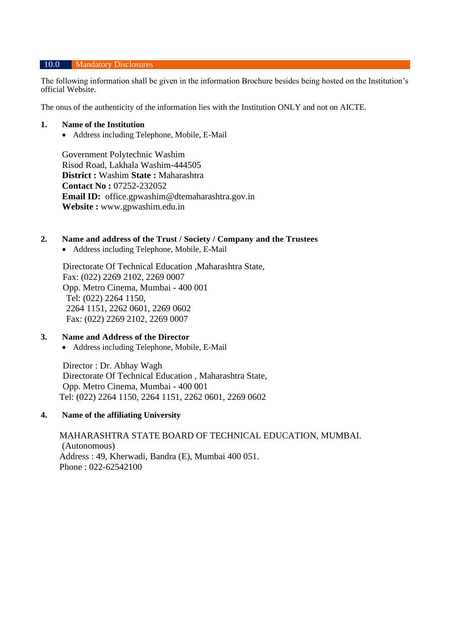#### 10.0 Mandatory Disclosures

The following information shall be given in the information Brochure besides being hosted on the Institution's official Website.

The onus of the authenticity of the information lies with the Institution ONLY and not on AICTE.

#### **1. Name of the Institution**

• Address including Telephone, Mobile, E-Mail

Government Polytechnic Washim Risod Road, Lakhala Washim-444505 **District :** Washim **State :** Maharashtra **Contact No :** 07252-232052 **Email ID:** office.gpwashim@dtemaharashtra.gov.in **Website :** www.gpwashim.edu.in

### **2. Name and address of the Trust / Society / Company and the Trustees**

• Address including Telephone, Mobile, E-Mail

Directorate Of Technical Education ,Maharashtra State, Fax: (022) 2269 2102, 2269 0007 Opp. Metro Cinema, Mumbai - 400 001 Tel: (022) 2264 1150, 2264 1151, 2262 0601, 2269 0602 Fax: (022) 2269 2102, 2269 0007

## **3. Name and Address of the Director**

• Address including Telephone, Mobile, E-Mail

Director : Dr. Abhay Wagh Directorate Of Technical Education , Maharashtra State, Opp. Metro Cinema, Mumbai - 400 001 Tel: (022) 2264 1150, 2264 1151, 2262 0601, 2269 0602

#### **4. Name of the affiliating University**

MAHARASHTRA STATE BOARD OF TECHNICAL EDUCATION, MUMBAI. (Autonomous) Address : 49, Kherwadi, Bandra (E), Mumbai 400 051. Phone : 022-62542100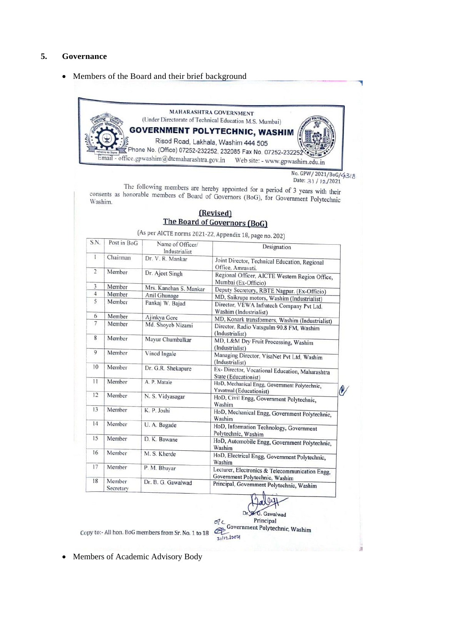#### **5. Governance**

• Members of the Board and their brief background

MAHARASHTRA GOVERNMENT (Under Directorate of Technical Education M.S. Mumbai) **GOVERNMENT POLYTECHNIC, WASHIM** Risod Road, Lakhala, Washim 444 505 Phone No. (Office) 07252-232252, 232085 Fax No. 07252-232252 Email - office.gpwashim@dtemaharashtra.gov.in Web site: - www.gpwashim.edu.in

> No. GPW/ 2021/BoG/43/8 Date: 3) / 12/2021

The following members are hereby appointed for a period of 3 years with their<br>honorable members of Board of Gaussian Company and the state of the state of the state of the state of  $\Omega$ The following members are hereby appointed for a period of 3 years with their<br>consents as honorable members of Board of Governors (BoG), for Government Polytechnic<br>Washim. Washim.

### (Revised) The Board of Governors (BoG)

(As per AICTE norms 2021-22, Appendix 18, page no. 202)

| S.N.              | Post in BoG         | Name of Officer/<br>Industrialist                                                             | Designation                                                                       |  |
|-------------------|---------------------|-----------------------------------------------------------------------------------------------|-----------------------------------------------------------------------------------|--|
| 1                 | Chairman            | Dr. V. R. Mankar<br>Joint Director, Technical Education, Regional<br>Office, Amravati.        |                                                                                   |  |
| $\overline{2}$    | Member              | Dr. Ajeet Singh                                                                               | Regional Officer, AICTE Western Region Office,<br>Mumbai (Ex-Officio)             |  |
| 3                 | Member              | Mrs. Kanchan S. Mankar                                                                        | Deputy Secretory, RBTE Nagpur. (Ex-Officio)                                       |  |
| 4                 | Member              | Anil Ghunage                                                                                  | MD, Saikrupa motors, Washim (Industrialist)                                       |  |
| 5                 | Member              | Pankaj W. Bajad                                                                               | Director, VEWA Infratech Company Pvt Ltd.<br>Washim (Industrialist)               |  |
| 6                 | Member              | Ajinkya Gore                                                                                  | MD, Konark transformers, Washim (Industrialist)                                   |  |
| $\overline{\tau}$ | Member              | Md. Shoyeb Nizami                                                                             | Director, Radio Vatsgulm 90.8 FM, Washim<br>(Industrialist)                       |  |
| 8                 | Member              | Mayur Chumbalkar                                                                              | MD, L&M Dry Fruit Processing, Washim<br>(Industrialist)                           |  |
| $\mathbf Q$       | Member              | Vinod Ingale                                                                                  | Managing Director, VisaNet Pvt Ltd, Washim<br>(Industrialist)                     |  |
| 10                | Member              | Dr. G.R. Shekapure<br>Ex- Director, Vocational Education, Maharashtra<br>State (Educationist) |                                                                                   |  |
| 11                | Member              | A. P. Matale                                                                                  | HoD, Mechanical Engg, Government Polytechnic,<br>Yavatmal (Educationist)          |  |
| 12                | Member              | N. S. Vidyasagar                                                                              | HoD, Civil Engg, Government Polytechnic,<br>Washim                                |  |
| 13                | Member              | K. P. Joshi                                                                                   | HoD, Mechanical Engg, Government Polytechnic,<br>Washim                           |  |
| 14                | Member              | U. A. Bagade                                                                                  | HoD, Information Technology, Government<br>Polytechnic, Washim                    |  |
| 15                | Member              | D. K. Bawane<br>HoD, Automobile Engg, Government Polytechnic,<br>Washim                       |                                                                                   |  |
| 16                | Member              | M. S. Kherde                                                                                  | HoD, Electrical Engg, Government Polytechnic,<br>Washim                           |  |
| 17                | Member              | P. M. Bhuvar                                                                                  | Lecturer, Electronics & Telecommunication Engg,<br>Government Polytechnic, Washim |  |
| 18                | Member<br>Secretary | Dr. B. G. Gawalwad                                                                            | Principal, Government Polytechnic, Washim<br>$\sim$ $\sim$                        |  |

G. Gawalwad Dr Principal

Copy to:- All hon. BoG members from Sr. No. 1 to 18

ol Principal<br>
General Polytechnic, Washim  $31121204$ 

• Members of Academic Advisory Body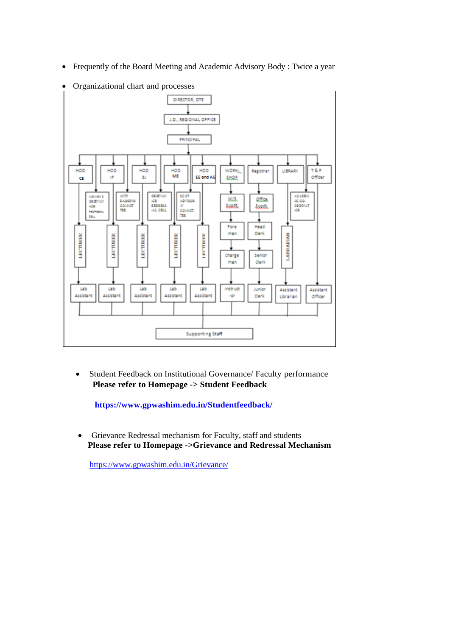• Frequently of the Board Meeting and Academic Advisory Body : Twice a year



• Organizational chart and processes

• Student Feedback on Institutional Governance/ Faculty performance  **Please refer to Homepage -> Student Feedback**

 **<https://www.gpwashim.edu.in/Studentfeedback/>**

• Grievance Redressal mechanism for Faculty, staff and students  **Please refer to Homepage ->Grievance and Redressal Mechanism**

<https://www.gpwashim.edu.in/Grievance/>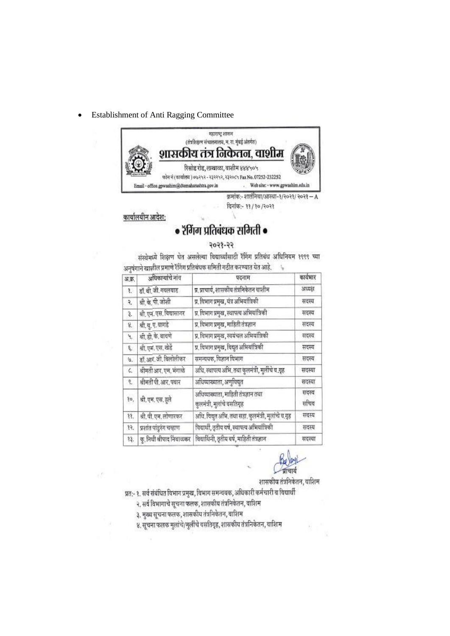Establishment of Anti Ragging Committee  $\bullet$ 



कार्यालयीन आदेश:

# • रॅगिंग प्रतिबंधक समिती •

### $55 - 8505$

संस्थेमध्ये शिक्षण घेत असलेल्या विद्यार्थ्यांसाठी रैंगिंग प्रतिबंध अधिनियम १९९९ च्या अनुषंगाने खालील प्रमाणे रॅगिंग प्रतिबंधक समिती गठीत करण्यात येत आहे.  $\mathcal{I}_{\mathbf{R}}$ 

| अ.क्र.  | अधिकाऱ्यांचे नांव         | पदनाम                                                              | कार्यभार      |
|---------|---------------------------|--------------------------------------------------------------------|---------------|
| 8.      | डॉ. बी. जी. गयलयाड        | प्र, प्राचार्य, शासकीय तंत्रनिकेतन वाशीम                           | अध्यक्ष       |
| ٩.      | श्री. के. पी. जोशी        | प्र. विभाग प्रमुख, यंत्र अभियांत्रिकी                              | सदस्य         |
| З.      | श्री. एन. एस. विद्यासागर  | प्र, विभाग प्रमुख, स्थापत्य अभियांत्रिकी                           | सदस्य         |
| 8,      | श्री. यू. ए. वागडे        | प्र, विभाग प्रमुख, माहिती तंत्रज्ञान                               | सदस्य         |
| 4,      | श्री, डी. के. वायणे       | प्र. विभाग प्रमुख, स्वयंचल अभियांत्रिकी                            | सदस्य         |
| q,      | श्री, एम. एस. खेडें       | प्र, विभाग प्रमुख, विद्युत अभियांत्रिकी                            | सदस्य         |
| U.      | डॉ. आर. जी. विलोलीकर      | समन्ययक, विज्ञान विभाग                                             | सदस्य         |
| $\zeta$ | श्रीमती आर, एम, भंगाळे    | अधि, स्थापत्य अभि, तथा कुलमंत्री, मुलींचे व.गृह                    | सदस्या        |
| Ϋ,      | श्रीमती पी. आर. पवार      | अधिव्याख्याता, अणुविद्युत                                          | सदस्या        |
| ło,     | श्री, एम, एस, हुले        | अधिव्याख्याता, माहिती तंत्रज्ञान तथा<br>कुलमंत्री, मुलांचे चसतिगृह | सदस्य<br>सचिव |
| 38.     | श्री. पी. एम. लोणारकर     | अधि, विद्युत अभि, तथा सहा, कुलमंत्री, मुलांचे व.गूह                | सदस्य         |
| 99.     | प्रशांत पांडुरंग चव्हाण   | विद्यार्थी, तृतीय वर्ष, स्थापत्य अभियांत्रिकी                      | सदस्य         |
| 33,     | क्, नियी श्रीपाद निंवाळकर | विद्यार्थिनी, तृतीय वर्ष, माहिती तंत्रज्ञान                        | सदस्या        |

शासकीय तंत्रनिकेतन, वाशिम

प्रत:- १. सर्व संबंधित विभाग प्रमुख, विभाग समन्वयक, अधिकारी कर्मचारी व विद्यार्थी

- २, सर्व विभागाचे सूचना फलक, शासकीय तंत्रनिकेतन, वाशिम
- ३. मुख्य सूचना फलक, शासकीय तंत्रनिकेतन, वाशिम

४. सूचना फलक मुलांचे/मुलींचे वसतिगृह, शासकीय तंत्रनिकेतन, वाशिम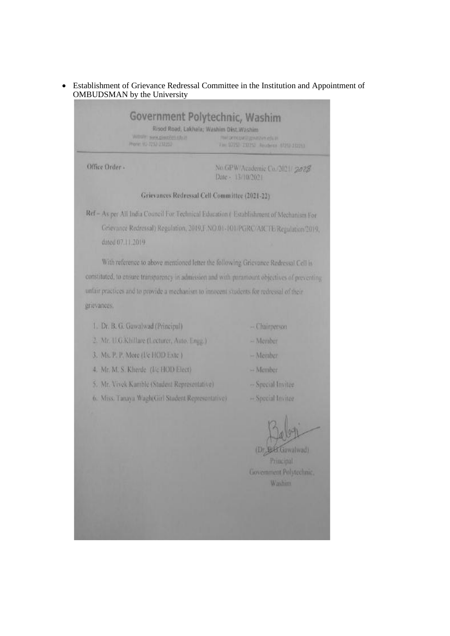Establishment of Grievance Redressal Committee in the Institution and Appointment of  $\bullet$ OMBUDSMAN by the University

|                | Website www.giisoonen.edu.m<br>Phone: 41-7253 (23225) | Government Polytechnic, Washim<br>Risod Road, Lakhala; Washim Dist.Washim<br>mal prince using markets cow in<br>Fine 0725 132253 Reubers 07252-232253 |
|----------------|-------------------------------------------------------|-------------------------------------------------------------------------------------------------------------------------------------------------------|
| Office Order - |                                                       | No.GPW Academic Co. (2021/2028)<br>Date - 13/10/2021                                                                                                  |
|                |                                                       | Grievances Redressal Cell Committee (2021-22)                                                                                                         |

Ref - As per All India Council For Technical Education (Establishment of Mechanism For Grievance Redressal) Regulation, 2019 F.NO.01-101/PGRC/AICTE/Regulation/2019. dated 07.11.2019

With reference to above mentioned letter the following Grievance Redressal Cell is constituted, to ensure transparency in admission and with paramount objectives of preventing unfair practices and to provide a mechanism to innocent students for redressal of their grievances.

- 1. Dr. B. G. Gawalwad (Principal)
- 2. Mr. U.G.Khillare (Lecturer, Auto, Engg.)
- 3. Ms. P. P. More (I/e HOD Exte )
- 4. Mr. M. S. Kherde (Vc HOD Elect)
- 5. Mr. Vivek Kamble (Student Representative)
- 6. Miss. Tanaya Wagh(Girl Student Representative).
- Chairperson
- $-M$ ember
- Member
- Member
- -- Special Invitee
- -Special Invitee

(Dr. B.B.Gawalwad)

Principal Government Polytechnic, **Washim**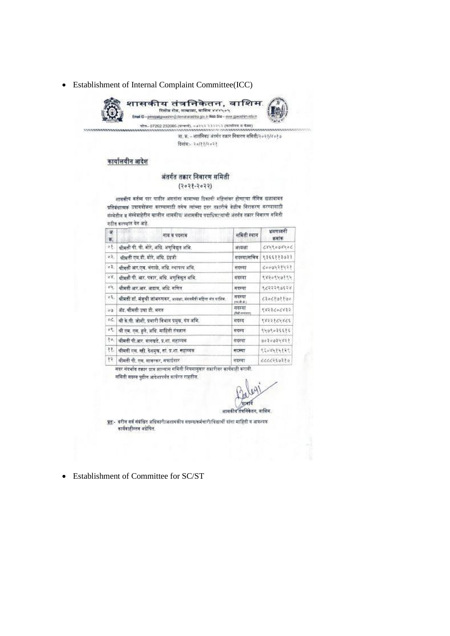• Establishment of Internal Complaint Committee(ICC)



शासकीय तंत्रनिकेतन, वाशिम. रिसोड रोड, लाखाळा, वाशिम ४४४५०५ opelgrussten@dematarashtra.gov.in Web Site - www.gowashim.edu.in ים<br>לוויות מידות ה-232095 (שירות), 232095 (שניתה - מונים ה-232095 (שניתה ה-27262)<br>המשפט המשפט ה-2010 ה-2010 ה-2010 (שניתה ה-2010 ה-2010)

जा. क्र. – शातंनिवा/ अंतर्गत तकार निवारण सविती/२०२१/४०१७ दिनांक-२०/११/२०२१

#### कार्यालयीन आदेश

#### अंतर्गत तकार निवारण समिती

#### $(5505 - 9505)$

शासकीय कर्तव्य पार पाढीत असतांना कामाच्या ठिकाणी महिलांवर होणाऱ्या लैनिक छळावादत प्रतिबंधात्मकं उपाययोजना करण्यासाठी तसेच त्यांच्या इतर तकारीचे वेळीच निराकरण करण्यासाठी संस्केतील व संस्केवाहेरील खालील शासकीय/ अशासकीय पदाधिकाऱ्यांची अंतर्गत तकार निवारण समिती गठीन करण्यात येत आहे.

| ar.<br>苇.                      | नाव व पदनाम                                                                            | समिती रुवान          | भ्रमणध्वनी<br>अमांक |
|--------------------------------|----------------------------------------------------------------------------------------|----------------------|---------------------|
| $\mathcal{N}$                  | धीमती पी. पी. मोरे, अधि. अणुविद्यत अभि.                                                | अध्यक्षा             | 5045005483          |
| $\mathcal{G}$                  | श्रीमती एम.डी. मोरे, अधि. डंग्रजी                                                      | गडल्या/सचिव          | 4,35588,3033        |
| $\sigma$ B .                   | बीमती आर.एम. भंगाळे, अधि. स्थापत्य अभि.                                                | सदस्या               | 6000428428          |
| $\partial^2 \mathcal{E}_\perp$ | धीमत्री पी. आर. पवार, अधि. अणुविद्युत अभि.                                             | मदस्या               | 179019091           |
| ole.                           | श्रीमती आर.आर. आढाव, अधि. गणित                                                         | मदस्या               | 8,600066668         |
|                                | <sup>०६,  </sup> श्रीमती डॉ. मंजुश्री जांभरुणकर, अध्यक्षा, संगममैत्री महिला संघ वालिम. | सदस्या<br>196.卷.金)   | C20C202200          |
| $\delta$                       | बॅड, श्रीमती उषा डी. भगत                                                               | सदस्या<br>disk mener | 6853500835          |
| $_{\circ C}$                   | थी के.पी. जोशी, प्रभारी विभाग प्रमुख, यंत्र अभि.                                       | मादरूच               | 338998698           |
| $\mathcal{F} \circ$            | श्री एम. एस. हुले, अधि. माहिती तंत्रज्ञान                                              | मदस्य                | 9409034485          |
| $\mathcal{Y}_{\mathfrak{B}_n}$ | वीमती पी.आर. वानवाडे, प्र.शा. सहाय्यक                                                  | सदस्या               |                     |
| 33                             | श्रीमती एम. ख्री. देशमच. तां. प्र.शा. सहाय्यक                                          | मदस्या               | 1500000000          |
| 98.                            | श्रीमती पी. एस. मावरकर, सफाईनार                                                        | लंदरूचा              | 444446390           |
|                                |                                                                                        |                      |                     |

सदर संदर्यात तकार प्राप्त झाल्यास समिती नियमानुसार तक्रारीवर कार्यवाही करावी. समिती सदस्य पुढील आदेशापर्यंत कार्यरत राहतील.

(प्रामयि

शासकीय तंत्रनिकेतन, वाशिम.

प्रत:- बरील सर्व संबंधित अधिकारी/अशामकीय मदस्य/कर्मचारी/विद्यार्थी यांना माहिती व आवश्यक कार्यवाहीस्तव अग्रेणित.

• Establishment of Committee for SC/ST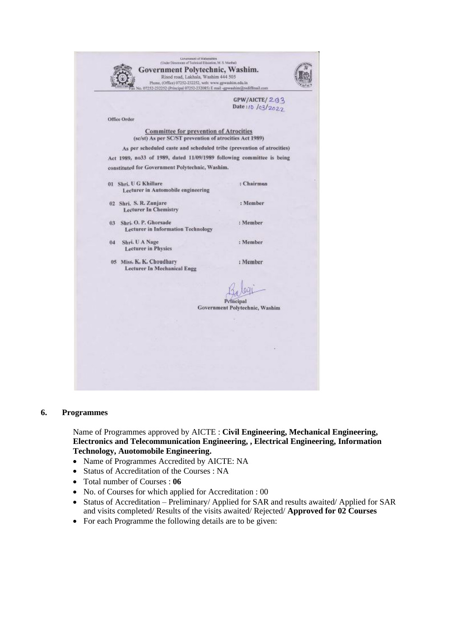| Government Polytechnic, Washim.<br>Risod road, Lakhala, Washim 444 505<br>Phone, (Office) 07252-232252, web: www.gewashin.edu.in<br>io. 07252-232252 (Principal 07252-232085) E mail -gpwashim@rediffmail.com |                                   |
|---------------------------------------------------------------------------------------------------------------------------------------------------------------------------------------------------------------|-----------------------------------|
|                                                                                                                                                                                                               | GPW/AICTE/293<br>Date:10 /03/2022 |
| Office Order                                                                                                                                                                                                  |                                   |
|                                                                                                                                                                                                               |                                   |
| <b>Committee for prevention of Atrocities</b><br>(sc/st) As per SC/ST prevention of atrocities Act 1989)                                                                                                      |                                   |
| As per scheduled caste and scheduled tribe (prevention of atrocities)                                                                                                                                         |                                   |
| Act 1989, no33 of 1989, dated 11/09/1989 following committee is being                                                                                                                                         |                                   |
| constituted for Government Polytechnic, Washim.                                                                                                                                                               |                                   |
| 01 Shri, U G Khillare                                                                                                                                                                                         | : Chairmon                        |
| Lecturer in Automobile engineering                                                                                                                                                                            |                                   |
| 02 Shri, S.R. Zunjare<br><b>Lecturer In Chemistry</b>                                                                                                                                                         | : Member                          |
| 03 Shri. O. P. Ghorsade<br><b>Lecturer</b> in Information Technology                                                                                                                                          | : Member                          |
| Shri. U A Nage<br>04<br><b>Lecturer</b> in Physics                                                                                                                                                            | : Member                          |
| 05 Miss. K. K. Choudhary<br><b>Lecturer In Mechanical Engg</b>                                                                                                                                                | : Member                          |
|                                                                                                                                                                                                               |                                   |
|                                                                                                                                                                                                               | Principal                         |
|                                                                                                                                                                                                               | Government Polytechnic, Washim    |
|                                                                                                                                                                                                               |                                   |
|                                                                                                                                                                                                               |                                   |
|                                                                                                                                                                                                               |                                   |
|                                                                                                                                                                                                               |                                   |
|                                                                                                                                                                                                               |                                   |

#### **6. Programmes**

Name of Programmes approved by AICTE : **Civil Engineering, Mechanical Engineering, Electronics and Telecommunication Engineering, , Electrical Engineering, Information Technology, Auotomobile Engineering.**

- Name of Programmes Accredited by AICTE: NA
- Status of Accreditation of the Courses : NA
- Total number of Courses : **06**
- No. of Courses for which applied for Accreditation : 00
- Status of Accreditation Preliminary/ Applied for SAR and results awaited/ Applied for SAR and visits completed/ Results of the visits awaited/ Rejected/ **Approved for 02 Courses**
- For each Programme the following details are to be given: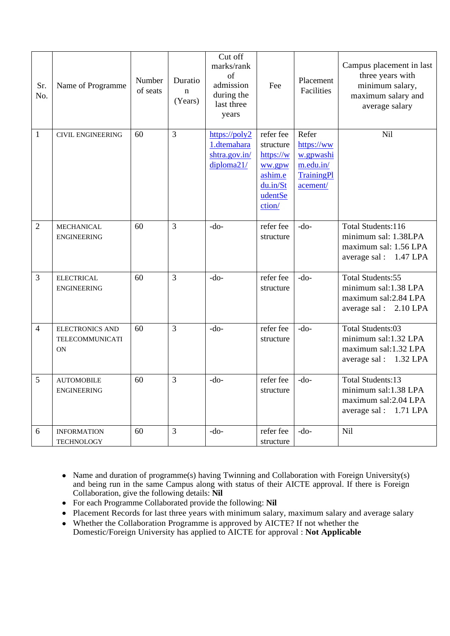| Sr.<br>No.     | Name of Programme                               | Number<br>of seats | Duratio<br>$\mathbf n$<br>(Years) | Cut off<br>marks/rank<br>of<br>admission<br>during the<br>last three<br>years | Fee                                                                                       | Placement<br>Facilities                                                        | Campus placement in last<br>three years with<br>minimum salary,<br>maximum salary and<br>average salary |
|----------------|-------------------------------------------------|--------------------|-----------------------------------|-------------------------------------------------------------------------------|-------------------------------------------------------------------------------------------|--------------------------------------------------------------------------------|---------------------------------------------------------------------------------------------------------|
| 1              | <b>CIVIL ENGINEERING</b>                        | 60                 | $\overline{3}$                    | https://poly2<br>1.dtemahara<br>shtra.gov.in/<br>diploma21/                   | refer fee<br>structure<br>https://w<br>ww.gpw<br>ashim.e<br>du.in/St<br>udentSe<br>ction/ | Refer<br>https://ww<br>w.gpwashi<br>m.edu.in/<br><b>TrainingPl</b><br>acement/ | Nil                                                                                                     |
| $\overline{2}$ | MECHANICAL<br><b>ENGINEERING</b>                | 60                 | $\overline{3}$                    | $-do-$                                                                        | refer fee<br>structure                                                                    | $-do-$                                                                         | Total Students:116<br>minimum sal: 1.38LPA<br>maximum sal: 1.56 LPA<br>average sal: 1.47 LPA            |
| $\overline{3}$ | <b>ELECTRICAL</b><br><b>ENGINEERING</b>         | 60                 | $\overline{3}$                    | $-do-$                                                                        | refer fee<br>structure                                                                    | $-do-$                                                                         | Total Students:55<br>minimum sal:1.38 LPA<br>maximum sal: 2.84 LPA<br>average sal: 2.10 LPA             |
| $\overline{4}$ | <b>ELECTRONICS AND</b><br>TELECOMMUNICATI<br>ON | 60                 | 3                                 | $-do-$                                                                        | refer fee<br>structure                                                                    | $-do-$                                                                         | Total Students:03<br>minimum sal:1.32 LPA<br>maximum sal:1.32 LPA<br>average sal: 1.32 LPA              |
| $\mathfrak{S}$ | <b>AUTOMOBILE</b><br><b>ENGINEERING</b>         | 60                 | 3                                 | -do-                                                                          | refer fee<br>structure                                                                    | $-do-$                                                                         | Total Students:13<br>minimum sal:1.38 LPA<br>maximum sal:2.04 LPA<br>average sal: 1.71 LPA              |
| 6              | <b>INFORMATION</b><br><b>TECHNOLOGY</b>         | 60                 | 3                                 | $-do-$                                                                        | refer fee<br>structure                                                                    | $-do-$                                                                         | Nil                                                                                                     |

- Name and duration of programme(s) having Twinning and Collaboration with Foreign University(s) and being run in the same Campus along with status of their AICTE approval. If there is Foreign Collaboration, give the following details: **Nil**
- For each Programme Collaborated provide the following: **Nil**
- Placement Records for last three years with minimum salary, maximum salary and average salary
- Whether the Collaboration Programme is approved by AICTE? If not whether the Domestic/Foreign University has applied to AICTE for approval : **Not Applicable**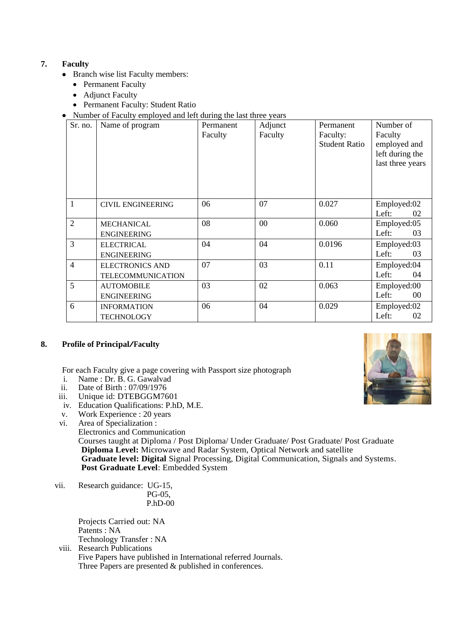## **7. Faculty**

- Branch wise list Faculty members:
	- Permanent Faculty
	- Adjunct Faculty
	- Permanent Faculty: Student Ratio
- Number of Faculty employed and left during the last three years

| Sr. no.        | Name of program                             | Permanent<br>Faculty | Adjunct<br>Faculty | Permanent<br>Faculty:<br><b>Student Ratio</b> | Number of<br>Faculty<br>employed and<br>left during the<br>last three years |
|----------------|---------------------------------------------|----------------------|--------------------|-----------------------------------------------|-----------------------------------------------------------------------------|
| $\mathbf{1}$   | <b>CIVIL ENGINEERING</b>                    | 06                   | 07                 | 0.027                                         | Employed:02<br>Left:<br>02                                                  |
| $\overline{2}$ | <b>MECHANICAL</b><br><b>ENGINEERING</b>     | 08                   | 00                 | 0.060                                         | Employed:05<br>Left:<br>03                                                  |
| $\overline{3}$ | <b>ELECTRICAL</b><br><b>ENGINEERING</b>     | 04                   | 04                 | 0.0196                                        | Employed:03<br>Left:<br>03                                                  |
| $\overline{4}$ | <b>ELECTRONICS AND</b><br>TELECOMMUNICATION | 07                   | 03                 | 0.11                                          | Employed:04<br>Left:<br>04                                                  |
| 5              | <b>AUTOMOBILE</b><br><b>ENGINEERING</b>     | 03                   | 02                 | 0.063                                         | Employed:00<br>Left:<br>$00\,$                                              |
| 6              | <b>INFORMATION</b><br><b>TECHNOLOGY</b>     | 06                   | 04                 | 0.029                                         | Employed:02<br>Left:<br>02                                                  |

## **8. Profile of Principal/Faculty**

For each Faculty give a page covering with Passport size photograph

- i. Name : Dr. B. G. Gawalvad
- ii. Date of Birth : 07/09/1976
- iii. Unique id: DTEBGGM7601
- iv. Education Qualifications: P.hD, M.E.
- v. Work Experience : 20 years
- vi. Area of Specialization : Electronics and Communication Courses taught at Diploma / Post Diploma/ Under Graduate/ Post Graduate/ Post Graduate **Diploma Level:** Microwave and Radar System, Optical Network and satellite  **Graduate level: Digital** Signal Processing, Digital Communication, Signals and Systems. **Post Graduate Level**: Embedded System
- vii. Research guidance: UG-15, PG-05, P.hD-00

Projects Carried out: NA Patents : NA Technology Transfer : NA

viii. Research Publications Five Papers have published in International referred Journals. Three Papers are presented & published in conferences.

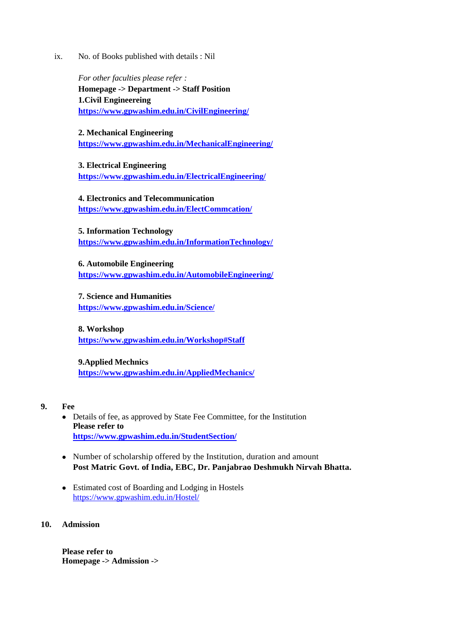ix. No. of Books published with details : Nil

*For other faculties please refer :* **Homepage -> Department -> Staff Position 1.Civil Engineereing <https://www.gpwashim.edu.in/CivilEngineering/>**

**2. Mechanical Engineering <https://www.gpwashim.edu.in/MechanicalEngineering/>**

**3. Electrical Engineering <https://www.gpwashim.edu.in/ElectricalEngineering/>**

**4. Electronics and Telecommunication <https://www.gpwashim.edu.in/ElectCommcation/>**

**5. Information Technology <https://www.gpwashim.edu.in/InformationTechnology/>**

**6. Automobile Engineering <https://www.gpwashim.edu.in/AutomobileEngineering/>**

**7. Science and Humanities <https://www.gpwashim.edu.in/Science/>**

**8. Workshop <https://www.gpwashim.edu.in/Workshop#Staff>**

**9.Applied Mechnics <https://www.gpwashim.edu.in/AppliedMechanics/>**

- **9. Fee**
	- Details of fee, as approved by State Fee Committee, for the Institution **Please refer to <https://www.gpwashim.edu.in/StudentSection/>**
	- Number of scholarship offered by the Institution, duration and amount **Post Matric Govt. of India, EBC, Dr. Panjabrao Deshmukh Nirvah Bhatta.**
	- Estimated cost of Boarding and Lodging in Hostels <https://www.gpwashim.edu.in/Hostel/>

## **10. Admission**

**Please refer to Homepage -> Admission ->**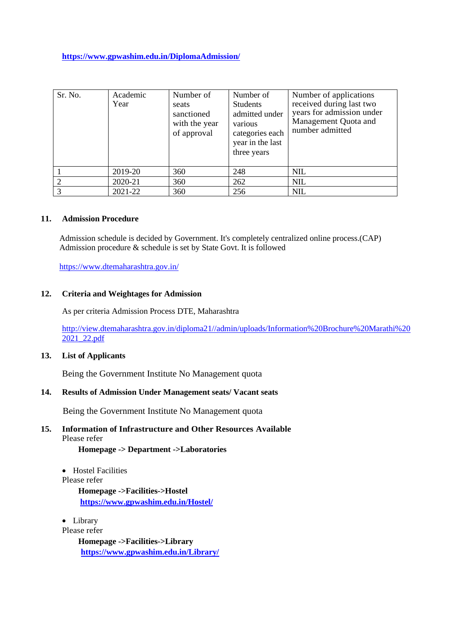**<https://www.gpwashim.edu.in/DiplomaAdmission/>**

| Sr. No. | Academic<br>Year | Number of<br>seats<br>sanctioned<br>with the year<br>of approval | Number of<br><b>Students</b><br>admitted under<br>various<br>categories each<br>year in the last<br>three years | Number of applications<br>received during last two<br>years for admission under<br>Management Quota and<br>number admitted |
|---------|------------------|------------------------------------------------------------------|-----------------------------------------------------------------------------------------------------------------|----------------------------------------------------------------------------------------------------------------------------|
|         | 2019-20          | 360                                                              | 248                                                                                                             | <b>NIL</b>                                                                                                                 |
|         | 2020-21          | 360                                                              | 262                                                                                                             | <b>NIL</b>                                                                                                                 |
|         | 2021-22          | 360                                                              | 256                                                                                                             | <b>NIL</b>                                                                                                                 |

#### **11. Admission Procedure**

Admission schedule is decided by Government. It's completely centralized online process.(CAP) Admission procedure & schedule is set by State Govt. It is followed

<https://www.dtemaharashtra.gov.in/>

#### **12. Criteria and Weightages for Admission**

As per criteria Admission Process DTE, Maharashtra

[http://view.dtemaharashtra.gov.in/diploma21//admin/uploads/Information%20Brochure%20Marathi%20](http://view.dtemaharashtra.gov.in/diploma21/admin/uploads/Information%20Brochure%20Marathi%202021_22.pdf) [2021\\_22.pdf](http://view.dtemaharashtra.gov.in/diploma21/admin/uploads/Information%20Brochure%20Marathi%202021_22.pdf)

#### **13. List of Applicants**

Being the Government Institute No Management quota

#### **14. Results of Admission Under Management seats/ Vacant seats**

Being the Government Institute No Management quota

## **15. Information of Infrastructure and Other Resources Available** Please refer

**Homepage -> Department ->Laboratories**

- Hostel Facilities
- Please refer

**Homepage ->Facilities->Hostel <https://www.gpwashim.edu.in/Hostel/>**

• Library

Please refer

**Homepage ->Facilities->Library <https://www.gpwashim.edu.in/Library/>**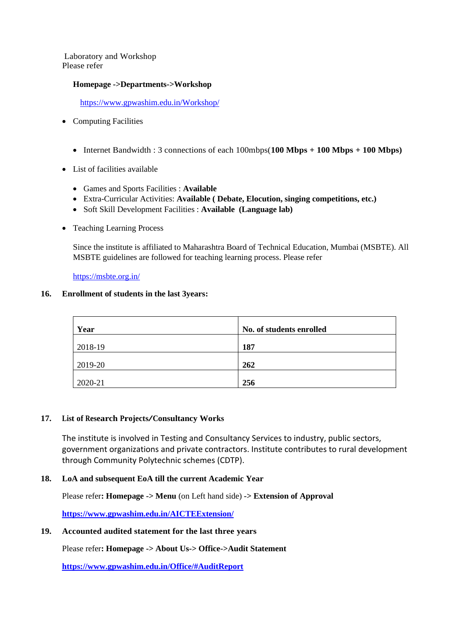Laboratory and Workshop Please refer

#### **Homepage ->Departments->Workshop**

<https://www.gpwashim.edu.in/Workshop/>

- Computing Facilities
	- Internet Bandwidth : 3 connections of each 100mbps(**100 Mbps + 100 Mbps + 100 Mbps)**
- List of facilities available
	- Games and Sports Facilities : **Available**
	- Extra-Curricular Activities: **Available ( Debate, Elocution, singing competitions, etc.)**
	- Soft Skill Development Facilities : **Available (Language lab)**
- Teaching Learning Process

Since the institute is affiliated to Maharashtra Board of Technical Education, Mumbai (MSBTE). All MSBTE guidelines are followed for teaching learning process. Please refer

<https://msbte.org.in/>

#### **16. Enrollment of students in the last 3years:**

| Year    | No. of students enrolled |
|---------|--------------------------|
| 2018-19 | 187                      |
| 2019-20 | 262                      |
| 2020-21 | 256                      |

#### **17. List of Research Projects/Consultancy Works**

The institute is involved in Testing and Consultancy Services to industry, public sectors, government organizations and private contractors. Institute contributes to rural development through Community Polytechnic schemes (CDTP).

## **18. LoA and subsequent EoA till the current Academic Year**

Please refer**: Homepage -> Menu** (on Left hand side) **-> Extension of Approval** 

**<https://www.gpwashim.edu.in/AICTEExtension/>**

#### **19. Accounted audited statement for the last three years**

Please refer**: Homepage -> About Us-> Office->Audit Statement**

**<https://www.gpwashim.edu.in/Office/#AuditReport>**